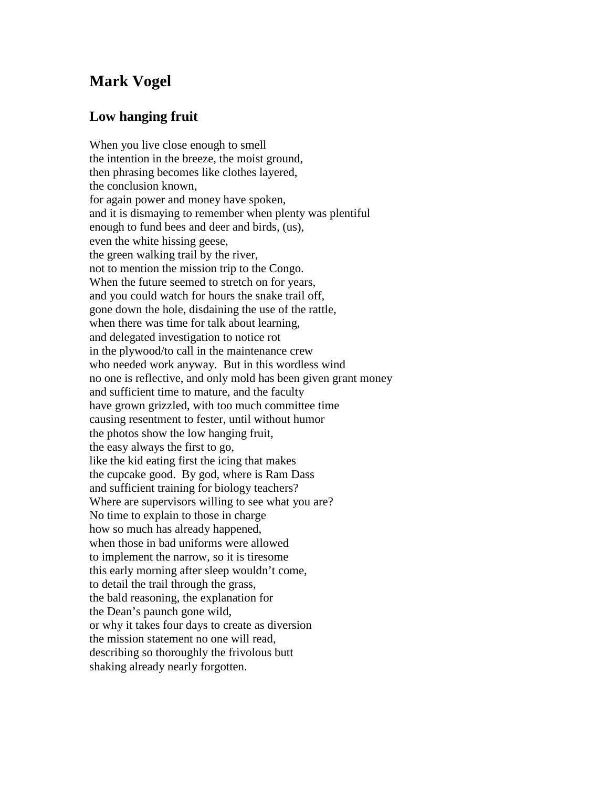## **Mark Vogel**

## **Low hanging fruit**

When you live close enough to smell the intention in the breeze, the moist ground, then phrasing becomes like clothes layered, the conclusion known, for again power and money have spoken, and it is dismaying to remember when plenty was plentiful enough to fund bees and deer and birds, (us), even the white hissing geese, the green walking trail by the river, not to mention the mission trip to the Congo. When the future seemed to stretch on for years, and you could watch for hours the snake trail off, gone down the hole, disdaining the use of the rattle, when there was time for talk about learning, and delegated investigation to notice rot in the plywood/to call in the maintenance crew who needed work anyway. But in this wordless wind no one is reflective, and only mold has been given grant money and sufficient time to mature, and the faculty have grown grizzled, with too much committee time causing resentment to fester, until without humor the photos show the low hanging fruit, the easy always the first to go, like the kid eating first the icing that makes the cupcake good. By god, where is Ram Dass and sufficient training for biology teachers? Where are supervisors willing to see what you are? No time to explain to those in charge how so much has already happened, when those in bad uniforms were allowed to implement the narrow, so it is tiresome this early morning after sleep wouldn't come, to detail the trail through the grass, the bald reasoning, the explanation for the Dean's paunch gone wild, or why it takes four days to create as diversion the mission statement no one will read, describing so thoroughly the frivolous butt shaking already nearly forgotten.